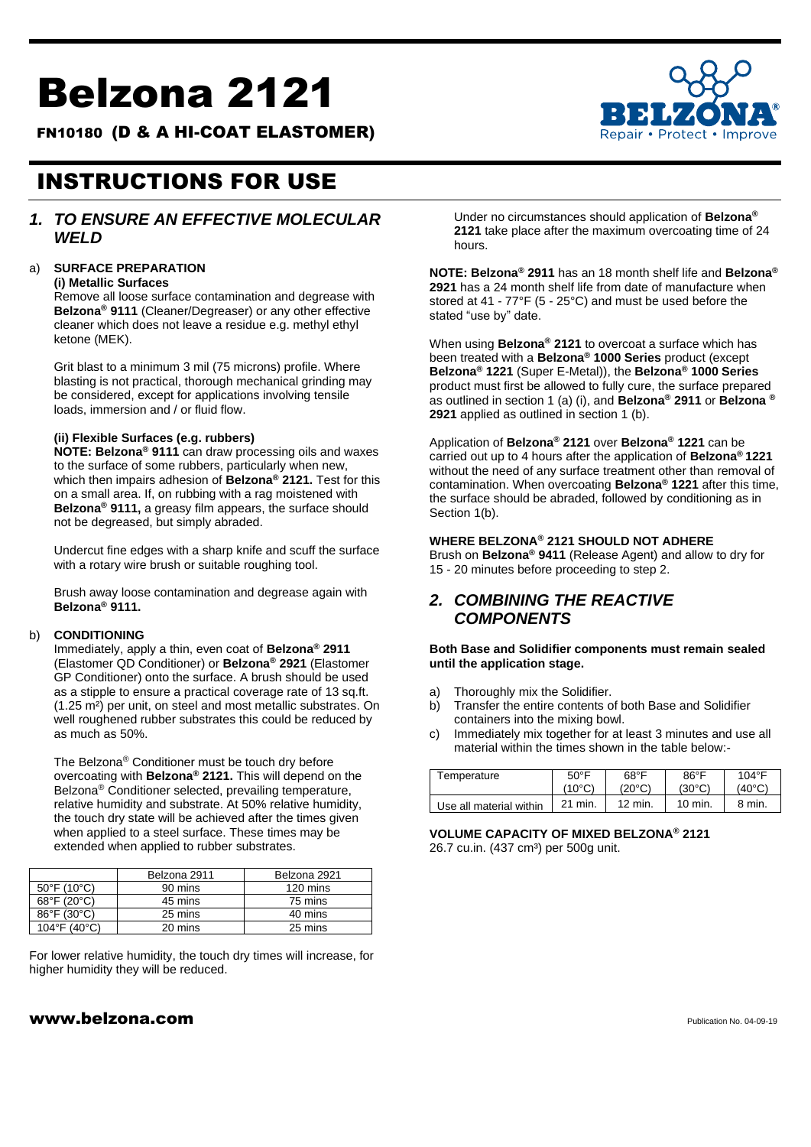# Belzona 2121

FN10180 (D & A HI-COAT ELASTOMER)



## INSTRUCTIONS FOR USE

#### *1. TO ENSURE AN EFFECTIVE MOLECULAR WELD*

#### a) **SURFACE PREPARATION**

**(i) Metallic Surfaces**

Remove all loose surface contamination and degrease with **Belzona® 9111** (Cleaner/Degreaser) or any other effective cleaner which does not leave a residue e.g. methyl ethyl ketone (MEK).

Grit blast to a minimum 3 mil (75 microns) profile. Where blasting is not practical, thorough mechanical grinding may be considered, except for applications involving tensile loads, immersion and / or fluid flow.

#### **(ii) Flexible Surfaces (e.g. rubbers)**

**NOTE: Belzona® 9111** can draw processing oils and waxes to the surface of some rubbers, particularly when new, which then impairs adhesion of **Belzona® 2121.** Test for this on a small area. If, on rubbing with a rag moistened with **Belzona® 9111,** a greasy film appears, the surface should not be degreased, but simply abraded.

Undercut fine edges with a sharp knife and scuff the surface with a rotary wire brush or suitable roughing tool.

Brush away loose contamination and degrease again with **Belzona® 9111.**

#### b) **CONDITIONING**

Immediately, apply a thin, even coat of **Belzona® 2911** (Elastomer QD Conditioner) or **Belzona® 2921** (Elastomer GP Conditioner) onto the surface. A brush should be used as a stipple to ensure a practical coverage rate of 13 sq.ft. (1.25 m²) per unit, on steel and most metallic substrates. On well roughened rubber substrates this could be reduced by as much as 50%.

The Belzona® Conditioner must be touch dry before overcoating with **Belzona® 2121.** This will depend on the Belzona® Conditioner selected, prevailing temperature, relative humidity and substrate. At 50% relative humidity, the touch dry state will be achieved after the times given when applied to a steel surface. These times may be extended when applied to rubber substrates.

|                                  | Belzona 2911 | Belzona 2921 |
|----------------------------------|--------------|--------------|
| $50^{\circ}$ F (10 $^{\circ}$ C) | 90 mins      | 120 mins     |
| 68°F (20°C)                      | 45 mins      | 75 mins      |
| 86°F (30°C)                      | 25 mins      | 40 mins      |
| 104°F (40°C)                     | 20 mins      | 25 mins      |

For lower relative humidity, the touch dry times will increase, for higher humidity they will be reduced.

Under no circumstances should application of **Belzona® 2121** take place after the maximum overcoating time of 24 hours.

**NOTE: Belzona® 2911** has an 18 month shelf life and **Belzona® 2921** has a 24 month shelf life from date of manufacture when stored at 41 - 77°F (5 - 25°C) and must be used before the stated "use by" date.

When using **Belzona® 2121** to overcoat a surface which has been treated with a **Belzona® 1000 Series** product (except **Belzona® 1221** (Super E-Metal)), the **Belzona® 1000 Series** product must first be allowed to fully cure, the surface prepared as outlined in section 1 (a) (i), and **Belzona® 2911** or **Belzona ® 2921** applied as outlined in section 1 (b).

Application of **Belzona® 2121** over **Belzona® 1221** can be carried out up to 4 hours after the application of **Belzona® 1221**  without the need of any surface treatment other than removal of contamination. When overcoating **Belzona® 1221** after this time, the surface should be abraded, followed by conditioning as in Section 1(b).

#### **WHERE BELZONA® 2121 SHOULD NOT ADHERE**

Brush on **Belzona® 9411** (Release Agent) and allow to dry for 15 - 20 minutes before proceeding to step 2.

### *2. COMBINING THE REACTIVE COMPONENTS*

**Both Base and Solidifier components must remain sealed until the application stage.**

- a) Thoroughly mix the Solidifier.
- b) Transfer the entire contents of both Base and Solidifier containers into the mixing bowl.
- c) Immediately mix together for at least 3 minutes and use all material within the times shown in the table below:-

| <sup>r</sup> emperature | $50^{\circ}$ F  | $68^{\circ}$ F   | $86^{\circ}$ F | $104^{\circ}F$ |
|-------------------------|-----------------|------------------|----------------|----------------|
|                         | $(10^{\circ}C)$ | $'20^{\circ}$ C) | (30°C)         | (40°C)         |
| Use all material within | 21 min.         | $12 \text{ min}$ | 10 min.        | 8 min.         |

**VOLUME CAPACITY OF MIXED BELZONA® 2121** 26.7 cu.in. (437 cm<sup>3</sup>) per 500g unit.

#### $www.belzona.com$